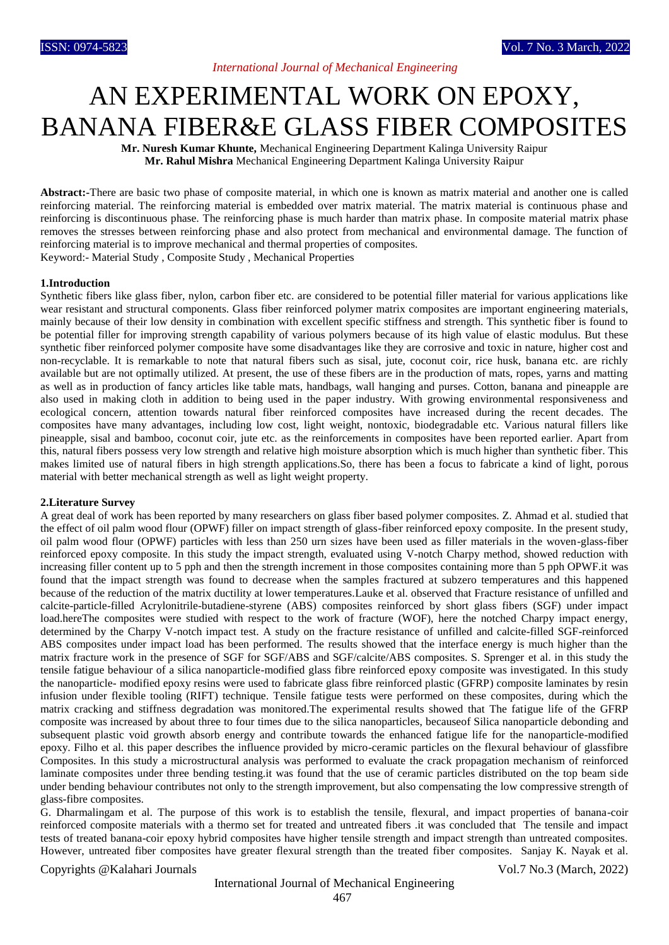## *International Journal of Mechanical Engineering*

# AN EXPERIMENTAL WORK ON EPOXY, BANANA FIBER&E GLASS FIBER COMPOSITES

**Mr. Nuresh Kumar Khunte,** Mechanical Engineering Department Kalinga University Raipur **Mr. Rahul Mishra** Mechanical Engineering Department Kalinga University Raipur

**Abstract:-**There are basic two phase of composite material, in which one is known as matrix material and another one is called reinforcing material. The reinforcing material is embedded over matrix material. The matrix material is continuous phase and reinforcing is discontinuous phase. The reinforcing phase is much harder than matrix phase. In composite material matrix phase removes the stresses between reinforcing phase and also protect from mechanical and environmental damage. The function of reinforcing material is to improve mechanical and thermal properties of composites. Keyword:- Material Study , Composite Study , Mechanical Properties

### **1.Introduction**

Synthetic fibers like glass fiber, nylon, carbon fiber etc. are considered to be potential filler material for various applications like wear resistant and structural components. Glass fiber reinforced polymer matrix composites are important engineering materials, mainly because of their low density in combination with excellent specific stiffness and strength. This synthetic fiber is found to be potential filler for improving strength capability of various polymers because of its high value of elastic modulus. But these synthetic fiber reinforced polymer composite have some disadvantages like they are corrosive and toxic in nature, higher cost and non-recyclable. It is remarkable to note that natural fibers such as sisal, jute, coconut coir, rice husk, banana etc. are richly available but are not optimally utilized. At present, the use of these fibers are in the production of mats, ropes, yarns and matting as well as in production of fancy articles like table mats, handbags, wall hanging and purses. Cotton, banana and pineapple are also used in making cloth in addition to being used in the paper industry. With growing environmental responsiveness and ecological concern, attention towards natural fiber reinforced composites have increased during the recent decades. The composites have many advantages, including low cost, light weight, nontoxic, biodegradable etc. Various natural fillers like pineapple, sisal and bamboo, coconut coir, jute etc. as the reinforcements in composites have been reported earlier. Apart from this, natural fibers possess very low strength and relative high moisture absorption which is much higher than synthetic fiber. This makes limited use of natural fibers in high strength applications.So, there has been a focus to fabricate a kind of light, porous material with better mechanical strength as well as light weight property.

#### **2.Literature Survey**

A great deal of work has been reported by many researchers on glass fiber based polymer composites. Z. Ahmad et al. studied that the effect of oil palm wood flour (OPWF) filler on impact strength of glass-fiber reinforced epoxy composite. In the present study, oil palm wood flour (OPWF) particles with less than 250 urn sizes have been used as filler materials in the woven-glass-fiber reinforced epoxy composite. In this study the impact strength, evaluated using V-notch Charpy method, showed reduction with increasing filler content up to 5 pph and then the strength increment in those composites containing more than 5 pph OPWF.it was found that the impact strength was found to decrease when the samples fractured at subzero temperatures and this happened because of the reduction of the matrix ductility at lower temperatures.Lauke et al. observed that Fracture resistance of unfilled and calcite-particle-filled Acrylonitrile-butadiene-styrene (ABS) composites reinforced by short glass fibers (SGF) under impact load.hereThe composites were studied with respect to the work of fracture (WOF), here the notched Charpy impact energy, determined by the Charpy V-notch impact test. A study on the fracture resistance of unfilled and calcite-filled SGF-reinforced ABS composites under impact load has been performed. The results showed that the interface energy is much higher than the matrix fracture work in the presence of SGF for SGF/ABS and SGF/calcite/ABS composites. S. Sprenger et al. in this study the tensile fatigue behaviour of a silica nanoparticle-modified glass fibre reinforced epoxy composite was investigated. In this study the nanoparticle- modified epoxy resins were used to fabricate glass fibre reinforced plastic (GFRP) composite laminates by resin infusion under flexible tooling (RIFT) technique. Tensile fatigue tests were performed on these composites, during which the matrix cracking and stiffness degradation was monitored.The experimental results showed that The fatigue life of the GFRP composite was increased by about three to four times due to the silica nanoparticles, becauseof Silica nanoparticle debonding and subsequent plastic void growth absorb energy and contribute towards the enhanced fatigue life for the nanoparticle-modified epoxy. Filho et al. this paper describes the influence provided by micro-ceramic particles on the flexural behaviour of glassfibre Composites. In this study a microstructural analysis was performed to evaluate the crack propagation mechanism of reinforced laminate composites under three bending testing.it was found that the use of ceramic particles distributed on the top beam side under bending behaviour contributes not only to the strength improvement, but also compensating the low compressive strength of glass-fibre composites.

G. Dharmalingam et al. The purpose of this work is to establish the tensile, flexural, and impact properties of banana-coir reinforced composite materials with a thermo set for treated and untreated fibers .it was concluded that The tensile and impact tests of treated banana-coir epoxy hybrid composites have higher tensile strength and impact strength than untreated composites. However, untreated fiber composites have greater flexural strength than the treated fiber composites. Sanjay K. Nayak et al.

### Copyrights @Kalahari Journals Vol.7 No.3 (March, 2022)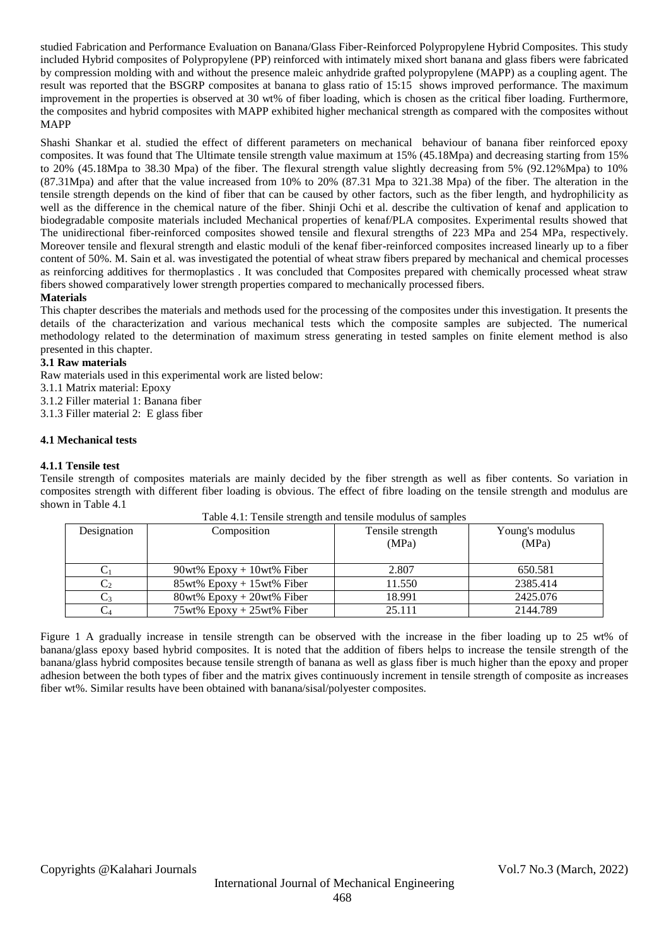studied Fabrication and Performance Evaluation on Banana/Glass Fiber-Reinforced Polypropylene Hybrid Composites. This study included Hybrid composites of Polypropylene (PP) reinforced with intimately mixed short banana and glass fibers were fabricated by compression molding with and without the presence maleic anhydride grafted polypropylene (MAPP) as a coupling agent. The result was reported that the BSGRP composites at banana to glass ratio of 15:15 shows improved performance. The maximum improvement in the properties is observed at 30 wt% of fiber loading, which is chosen as the critical fiber loading. Furthermore, the composites and hybrid composites with MAPP exhibited higher mechanical strength as compared with the composites without MAPP

Shashi Shankar et al. studied the effect of different parameters on mechanical behaviour of banana fiber reinforced epoxy composites. It was found that The Ultimate tensile strength value maximum at 15% (45.18Mpa) and decreasing starting from 15% to 20% (45.18Mpa to 38.30 Mpa) of the fiber. The flexural strength value slightly decreasing from 5% (92.12%Mpa) to 10% (87.31Mpa) and after that the value increased from 10% to 20% (87.31 Mpa to 321.38 Mpa) of the fiber. The alteration in the tensile strength depends on the kind of fiber that can be caused by other factors, such as the fiber length, and hydrophilicity as well as the difference in the chemical nature of the fiber. Shinji Ochi et al. describe the cultivation of kenaf and application to biodegradable composite materials included Mechanical properties of kenaf/PLA composites. Experimental results showed that The unidirectional fiber-reinforced composites showed tensile and flexural strengths of 223 MPa and 254 MPa, respectively. Moreover tensile and flexural strength and elastic moduli of the kenaf fiber-reinforced composites increased linearly up to a fiber content of 50%. M. Sain et al. was investigated the potential of wheat straw fibers prepared by mechanical and chemical processes as reinforcing additives for thermoplastics . It was concluded that Composites prepared with chemically processed wheat straw fibers showed comparatively lower strength properties compared to mechanically processed fibers.

## **Materials**

This chapter describes the materials and methods used for the processing of the composites under this investigation. It presents the details of the characterization and various mechanical tests which the composite samples are subjected. The numerical methodology related to the determination of maximum stress generating in tested samples on finite element method is also presented in this chapter.

## **3.1 Raw materials**

Raw materials used in this experimental work are listed below:

- 3.1.1 Matrix material: Epoxy
- 3.1.2 Filler material 1: Banana fiber
- 3.1.3 Filler material 2: E glass fiber

## **4.1 Mechanical tests**

## **4.1.1 Tensile test**

Tensile strength of composites materials are mainly decided by the fiber strength as well as fiber contents. So variation in composites strength with different fiber loading is obvious. The effect of fibre loading on the tensile strength and modulus are shown in Table 4.1

| Table 4.1. Tensile strength and tensile modulus of samples |                              |                           |                          |  |  |
|------------------------------------------------------------|------------------------------|---------------------------|--------------------------|--|--|
| Designation                                                | Composition                  | Tensile strength<br>(MPa) | Young's modulus<br>(MPa) |  |  |
|                                                            | $90wt\%$ Epoxy + 10wt% Fiber | 2.807                     | 650.581                  |  |  |
|                                                            | $85wt\%$ Epoxy + 15wt% Fiber | 11.550                    | 2385.414                 |  |  |
|                                                            | $80wt\%$ Epoxy + 20wt% Fiber | 18.991                    | 2425.076                 |  |  |
|                                                            | $75wt\%$ Epoxy + 25wt% Fiber | 25.111                    | 2144.789                 |  |  |

Table 4.1: Tensile strength and tensile modulus of samples

Figure 1 A gradually increase in tensile strength can be observed with the increase in the fiber loading up to 25 wt% of banana/glass epoxy based hybrid composites. It is noted that the addition of fibers helps to increase the tensile strength of the banana/glass hybrid composites because tensile strength of banana as well as glass fiber is much higher than the epoxy and proper adhesion between the both types of fiber and the matrix gives continuously increment in tensile strength of composite as increases fiber wt%. Similar results have been obtained with banana/sisal/polyester composites.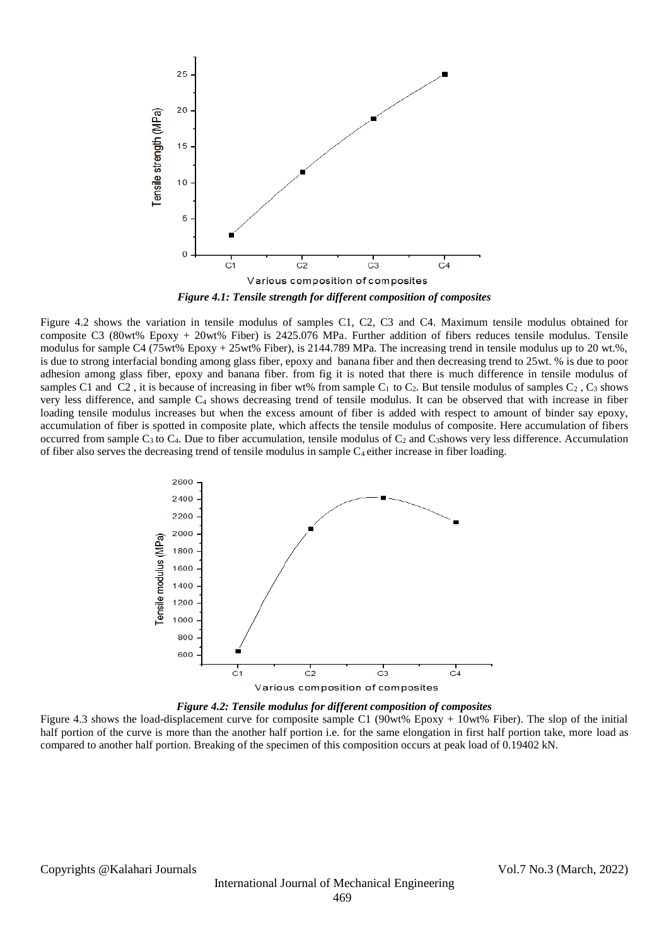

Figure 4.2 shows the variation in tensile modulus of samples C1, C2, C3 and C4. Maximum tensile modulus obtained for composite C3 (80wt% Epoxy + 20wt% Fiber) is 2425.076 MPa. Further addition of fibers reduces tensile modulus. Tensile modulus for sample C4 (75wt% Epoxy + 25wt% Fiber), is 2144.789 MPa. The increasing trend in tensile modulus up to 20 wt.%, is due to strong interfacial bonding among glass fiber, epoxy and banana fiber and then decreasing trend to 25wt. % is due to poor adhesion among glass fiber, epoxy and banana fiber. from fig it is noted that there is much difference in tensile modulus of samples C1 and C2, it is because of increasing in fiber wt% from sample C<sub>1</sub> to C<sub>2</sub>. But tensile modulus of samples C<sub>2</sub>, C<sub>3</sub> shows very less difference, and sample  $C_4$  shows decreasing trend of tensile modulus. It can be observed that with increase in fiber loading tensile modulus increases but when the excess amount of fiber is added with respect to amount of binder say epoxy, accumulation of fiber is spotted in composite plate, which affects the tensile modulus of composite. Here accumulation of fibers occurred from sample  $C_3$  to  $C_4$ . Due to fiber accumulation, tensile modulus of  $C_2$  and  $C_3$ shows very less difference. Accumulation of fiber also serves the decreasing trend of tensile modulus in sample C4 either increase in fiber loading.



*Figure 4.2: Tensile modulus for different composition of composites*

Figure 4.3 shows the load-displacement curve for composite sample C1 (90wt% Epoxy + 10wt% Fiber). The slop of the initial half portion of the curve is more than the another half portion i.e. for the same elongation in first half portion take, more load as compared to another half portion. Breaking of the specimen of this composition occurs at peak load of 0.19402 kN.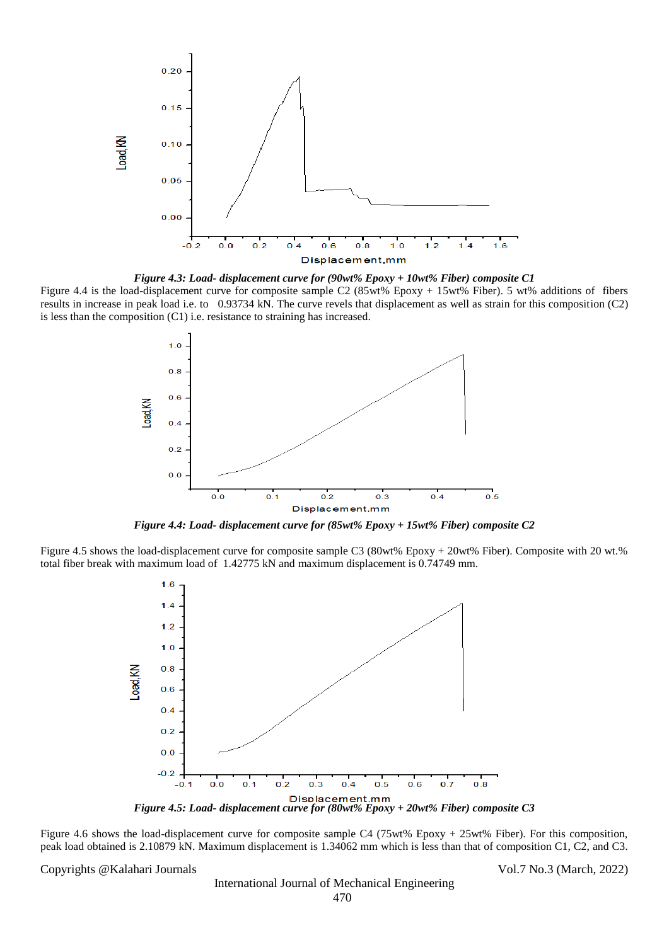

*Figure 4.3: Load- displacement curve for (90wt% Epoxy + 10wt% Fiber) composite C1* Figure 4.4 is the load-displacement curve for composite sample C2 (85wt% Epoxy + 15wt% Fiber). 5 wt% additions of fibers results in increase in peak load i.e. to 0.93734 kN. The curve revels that displacement as well as strain for this composition (C2) is less than the composition (C1) i.e. resistance to straining has increased.



*Figure 4.4: Load- displacement curve for (85wt% Epoxy + 15wt% Fiber) composite C2*

Figure 4.5 shows the load-displacement curve for composite sample C3 (80wt% Epoxy + 20wt% Fiber). Composite with 20 wt.% total fiber break with maximum load of 1.42775 kN and maximum displacement is 0.74749 mm.



Figure 4.6 shows the load-displacement curve for composite sample C4 (75wt% Epoxy + 25wt% Fiber). For this composition, peak load obtained is 2.10879 kN. Maximum displacement is 1.34062 mm which is less than that of composition C1, C2, and C3.

Copyrights @Kalahari Journals Vol.7 No.3 (March, 2022)

International Journal of Mechanical Engineering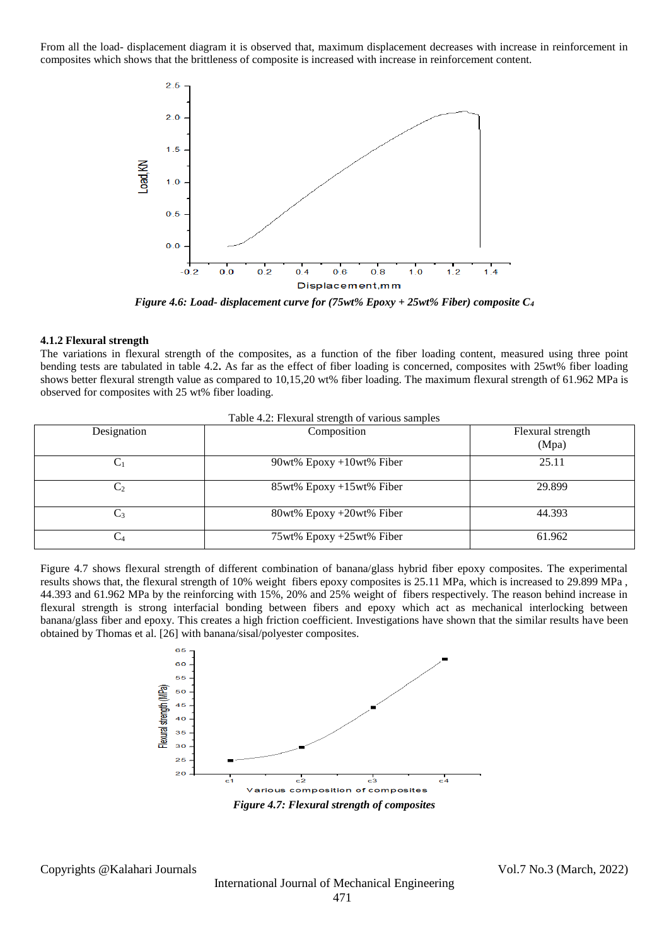From all the load- displacement diagram it is observed that, maximum displacement decreases with increase in reinforcement in composites which shows that the brittleness of composite is increased with increase in reinforcement content.



*Figure 4.6: Load- displacement curve for (75wt% Epoxy + 25wt% Fiber) composite C<sup>4</sup>*

#### **4.1.2 Flexural strength**

The variations in flexural strength of the composites, as a function of the fiber loading content, measured using three point bending tests are tabulated in table 4.2**.** As far as the effect of fiber loading is concerned, composites with 25wt% fiber loading shows better flexural strength value as compared to 10,15,20 wt% fiber loading. The maximum flexural strength of 61.962 MPa is observed for composites with 25 wt% fiber loading.

| Designation | Composition                 | Flexural strength<br>(Mpa) |  |  |  |  |
|-------------|-----------------------------|----------------------------|--|--|--|--|
| $C_1$       | $90wt\%$ Epoxy +10wt% Fiber | 25.11                      |  |  |  |  |
| C,          | 85wt% Epoxy +15wt% Fiber    | 29.899                     |  |  |  |  |
| $C_3$       | 80wt% Epoxy +20wt% Fiber    | 44.393                     |  |  |  |  |
|             | 75wt% Epoxy +25wt% Fiber    | 61.962                     |  |  |  |  |

| Table 4.2: Flexural strength of various samples |  |  |  |
|-------------------------------------------------|--|--|--|
|                                                 |  |  |  |

Figure 4.7 shows flexural strength of different combination of banana/glass hybrid fiber epoxy composites. The experimental results shows that, the flexural strength of 10% weight fibers epoxy composites is 25.11 MPa, which is increased to 29.899 MPa , 44.393 and 61.962 MPa by the reinforcing with 15%, 20% and 25% weight of fibers respectively. The reason behind increase in flexural strength is strong interfacial bonding between fibers and epoxy which act as mechanical interlocking between banana/glass fiber and epoxy. This creates a high friction coefficient. Investigations have shown that the similar results have been obtained by Thomas et al. [26] with banana/sisal/polyester composites.



Copyrights @Kalahari Journals Vol.7 No.3 (March, 2022)

International Journal of Mechanical Engineering 471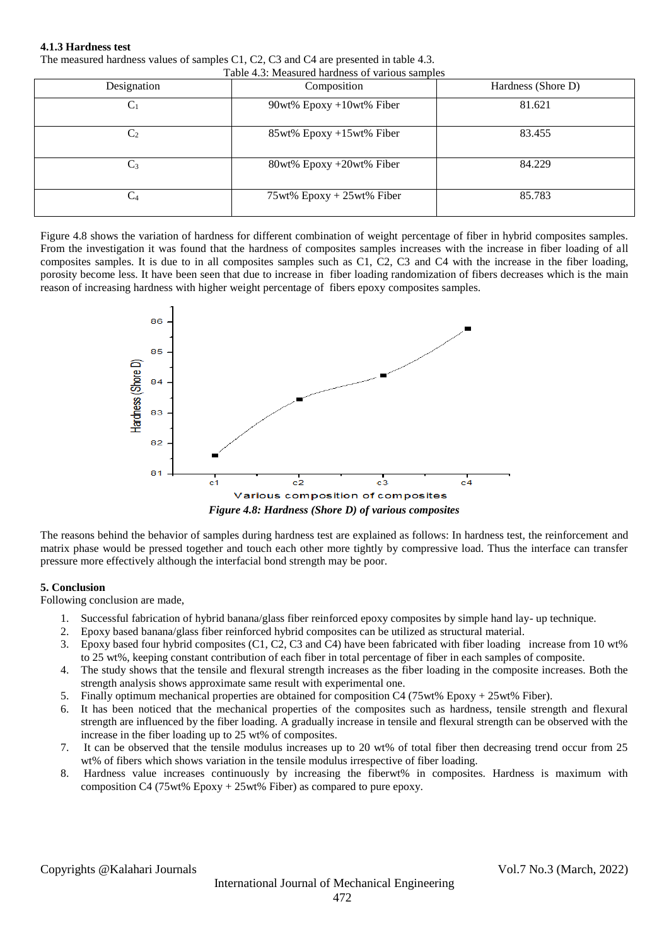### **4.1.3 Hardness test**

The measured hardness values of samples C1, C2, C3 and C4 are presented in table 4.3.

| Table 4.3: Measured hardness of various samples |                              |                    |  |  |  |
|-------------------------------------------------|------------------------------|--------------------|--|--|--|
| Designation                                     | Composition                  | Hardness (Shore D) |  |  |  |
| $\rm C_{1}$                                     | 90wt% $Epoxy + 10wt%$ Fiber  | 81.621             |  |  |  |
| C <sub>2</sub>                                  | 85wt% Epoxy +15wt% Fiber     | 83.455             |  |  |  |
| $C_3$                                           | 80wt% Epoxy +20wt% Fiber     | 84.229             |  |  |  |
| $\mathrm{C}_4$                                  | $75wt\%$ Epoxy + 25wt% Fiber | 85.783             |  |  |  |

Figure 4.8 shows the variation of hardness for different combination of weight percentage of fiber in hybrid composites samples. From the investigation it was found that the hardness of composites samples increases with the increase in fiber loading of all composites samples. It is due to in all composites samples such as C1, C2, C3 and C4 with the increase in the fiber loading, porosity become less. It have been seen that due to increase in fiber loading randomization of fibers decreases which is the main reason of increasing hardness with higher weight percentage of fibers epoxy composites samples.



The reasons behind the behavior of samples during hardness test are explained as follows: In hardness test, the reinforcement and matrix phase would be pressed together and touch each other more tightly by compressive load. Thus the interface can transfer pressure more effectively although the interfacial bond strength may be poor.

## **5. Conclusion**

Following conclusion are made,

- 1. Successful fabrication of hybrid banana/glass fiber reinforced epoxy composites by simple hand lay- up technique.
- 2. Epoxy based banana/glass fiber reinforced hybrid composites can be utilized as structural material.
- 3. Epoxy based four hybrid composites (C1, C2, C3 and C4) have been fabricated with fiber loading increase from 10 wt% to 25 wt%, keeping constant contribution of each fiber in total percentage of fiber in each samples of composite.
- 4. The study shows that the tensile and flexural strength increases as the fiber loading in the composite increases. Both the strength analysis shows approximate same result with experimental one.
- 5. Finally optimum mechanical properties are obtained for composition C4 (75wt% Epoxy + 25wt% Fiber).
- 6. It has been noticed that the mechanical properties of the composites such as hardness, tensile strength and flexural strength are influenced by the fiber loading. A gradually increase in tensile and flexural strength can be observed with the increase in the fiber loading up to 25 wt% of composites.
- 7. It can be observed that the tensile modulus increases up to 20 wt% of total fiber then decreasing trend occur from 25 wt% of fibers which shows variation in the tensile modulus irrespective of fiber loading.
- 8. Hardness value increases continuously by increasing the fiberwt% in composites. Hardness is maximum with composition C4 (75wt% Epoxy + 25wt% Fiber) as compared to pure epoxy.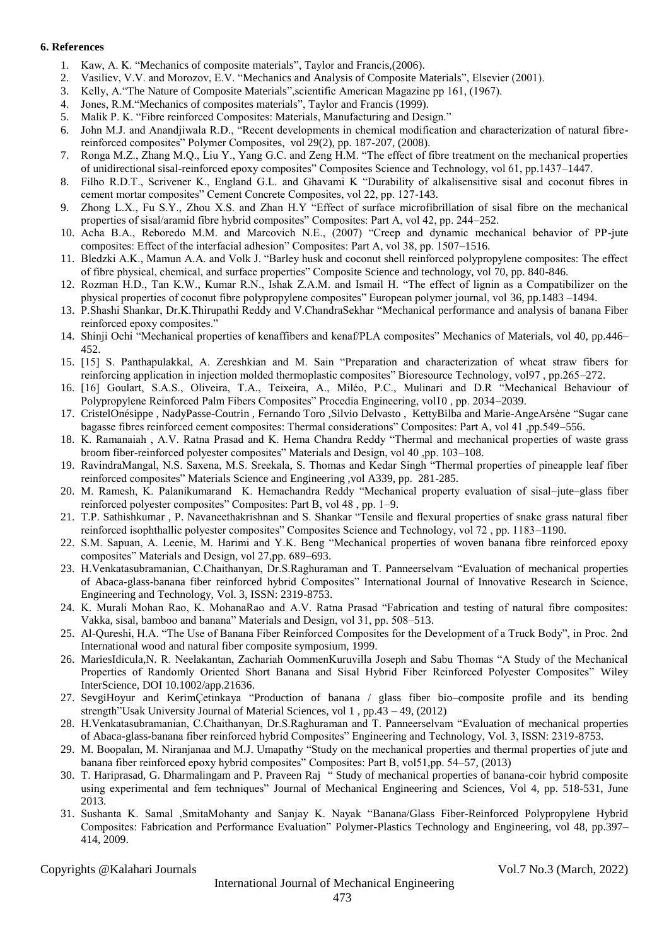### **6. References**

- 1. Kaw, A. K. "Mechanics of composite materials", Taylor and Francis,(2006).
- 2. Vasiliev, V.V. and Morozov, E.V. "Mechanics and Analysis of Composite Materials", Elsevier (2001).
- 3. Kelly, A."The Nature of Composite Materials",scientific American Magazine pp 161, (1967).
- 4. Jones, R.M."Mechanics of composites materials", Taylor and Francis (1999).
- 5. Malik P. K. "Fibre reinforced Composites: Materials, Manufacturing and Design."
- 6. John M.J. and Anandjiwala R.D., "Recent developments in chemical modification and characterization of natural fibrereinforced composites" Polymer Composites, vol 29(2), pp. 187-207, (2008).
- 7. Ronga M.Z., Zhang M.Q., Liu Y., Yang G.C. and Zeng H.M. "The effect of fibre treatment on the mechanical properties of unidirectional sisal-reinforced epoxy composites" Composites Science and Technology, vol 61, pp.1437–1447.
- 8. Filho R.D.T., Scrivener K., England G.L. and Ghavami K "Durability of alkalisensitive sisal and coconut fibres in cement mortar composites" Cement Concrete Composites, vol 22, pp. 127-143.
- 9. Zhong L.X., Fu S.Y., Zhou X.S. and Zhan H.Y "Effect of surface microfibrillation of sisal fibre on the mechanical properties of sisal/aramid fibre hybrid composites" Composites: Part A, vol 42, pp. 244–252.
- 10. Acha B.A., Reboredo M.M. and Marcovich N.E., (2007) "Creep and dynamic mechanical behavior of PP-jute composites: Effect of the interfacial adhesion" Composites: Part A, vol 38, pp. 1507–1516.
- 11. Bledzki A.K., Mamun A.A. and Volk J. "Barley husk and coconut shell reinforced polypropylene composites: The effect of fibre physical, chemical, and surface properties" Composite Science and technology, vol 70, pp. 840-846.
- 12. Rozman H.D., Tan K.W., Kumar R.N., Ishak Z.A.M. and Ismail H. "The effect of lignin as a Compatibilizer on the physical properties of coconut fibre polypropylene composites" European polymer journal, vol 36, pp.1483 –1494.
- 13. P.Shashi Shankar, Dr.K.Thirupathi Reddy and V.ChandraSekhar "Mechanical performance and analysis of banana Fiber reinforced epoxy composites."
- 14. Shinji Ochi "Mechanical properties of kenaffibers and kenaf/PLA composites" Mechanics of Materials, vol 40, pp.446– 452.
- 15. [15] S. Panthapulakkal, A. Zereshkian and M. Sain "Preparation and characterization of wheat straw fibers for reinforcing application in injection molded thermoplastic composites" Bioresource Technology, vol97 , pp.265–272.
- 16. [16] Goulart, S.A.S., Oliveira, T.A., Teixeira, A., Miléo, P.C., Mulinari and D.R "Mechanical Behaviour of Polypropylene Reinforced Palm Fibers Composites" Procedia Engineering, vol10 , pp. 2034–2039.
- 17. CristelOnésippe , NadyPasse-Coutrin , Fernando Toro ,Silvio Delvasto , KettyBilba and Marie-AngeArsène "Sugar cane bagasse fibres reinforced cement composites: Thermal considerations" Composites: Part A, vol 41 ,pp.549–556.
- 18. K. Ramanaiah , A.V. Ratna Prasad and K. Hema Chandra Reddy "Thermal and mechanical properties of waste grass broom fiber-reinforced polyester composites" Materials and Design, vol 40 ,pp. 103–108.
- 19. RavindraMangal, N.S. Saxena, M.S. Sreekala, S. Thomas and Kedar Singh "Thermal properties of pineapple leaf fiber reinforced composites" Materials Science and Engineering ,vol A339, pp. 281-285.
- 20. M. Ramesh, K. Palanikumarand K. Hemachandra Reddy "Mechanical property evaluation of sisal–jute–glass fiber reinforced polyester composites" Composites: Part B, vol 48 , pp. 1–9.
- 21. T.P. Sathishkumar , P. Navaneethakrishnan and S. Shankar "Tensile and flexural properties of snake grass natural fiber reinforced isophthallic polyester composites" Composites Science and Technology, vol 72 , pp. 1183–1190.
- 22. S.M. Sapuan, A. Leenie, M. Harimi and Y.K. Beng "Mechanical properties of woven banana fibre reinforced epoxy composites" Materials and Design, vol 27,pp. 689–693.
- 23. H.Venkatasubramanian, C.Chaithanyan, Dr.S.Raghuraman and T. Panneerselvam "Evaluation of mechanical properties of Abaca-glass-banana fiber reinforced hybrid Composites" International Journal of Innovative Research in Science, Engineering and Technology, Vol. 3, ISSN: 2319-8753.
- 24. K. Murali Mohan Rao, K. MohanaRao and A.V. Ratna Prasad "Fabrication and testing of natural fibre composites: Vakka, sisal, bamboo and banana" Materials and Design, vol 31, pp. 508–513.
- 25. Al-Qureshi, H.A. "The Use of Banana Fiber Reinforced Composites for the Development of a Truck Body", in Proc. 2nd International wood and natural fiber composite symposium, 1999.
- 26. MariesIdicula,N. R. Neelakantan, Zachariah OommenKuruvilla Joseph and Sabu Thomas "A Study of the Mechanical Properties of Randomly Oriented Short Banana and Sisal Hybrid Fiber Reinforced Polyester Composites" Wiley InterScience, DOI 10.1002/app.21636.
- 27. SevgiHoyur and KerimÇetinkaya "Production of banana / glass fiber bio–composite profile and its bending strength"Usak University Journal of Material Sciences, vol 1 , pp.43 – 49, (2012)
- 28. H.Venkatasubramanian, C.Chaithanyan, Dr.S.Raghuraman and T. Panneerselvam "Evaluation of mechanical properties of Abaca-glass-banana fiber reinforced hybrid Composites" Engineering and Technology, Vol. 3, ISSN: 2319-8753.
- 29. M. Boopalan, M. Niranjanaa and M.J. Umapathy "Study on the mechanical properties and thermal properties of jute and banana fiber reinforced epoxy hybrid composites" Composites: Part B, vol51,pp. 54–57, (2013)
- 30. T. Hariprasad, G. Dharmalingam and P. Praveen Raj " Study of mechanical properties of banana-coir hybrid composite using experimental and fem techniques" Journal of Mechanical Engineering and Sciences, Vol 4, pp. 518-531, June 2013.
- 31. Sushanta K. Samal ,SmitaMohanty and Sanjay K. Nayak "Banana/Glass Fiber-Reinforced Polypropylene Hybrid Composites: Fabrication and Performance Evaluation" Polymer-Plastics Technology and Engineering, vol 48, pp.397– 414, 2009.

Copyrights @Kalahari Journals Vol.7 No.3 (March, 2022)